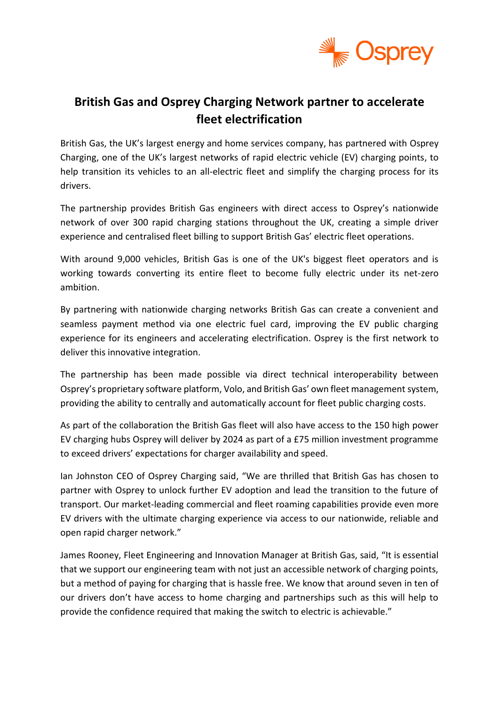

# **British Gas and Osprey Charging Network partner to accelerate fleet electrification**

British Gas, the UK's largest energy and home services company, has partnered with Osprey Charging, one of the UK's largest networks of rapid electric vehicle (EV) charging points, to help transition its vehicles to an all-electric fleet and simplify the charging process for its drivers.

The partnership provides British Gas engineers with direct access to Osprey's nationwide network of over 300 rapid charging stations throughout the UK, creating a simple driver experience and centralised fleet billing to support British Gas' electric fleet operations.

With around 9,000 vehicles, British Gas is one of the UK's biggest fleet operators and is working towards converting its entire fleet to become fully electric under its net-zero ambition.

By partnering with nationwide charging networks British Gas can create a convenient and seamless payment method via one electric fuel card, improving the EV public charging experience for its engineers and accelerating electrification. Osprey is the first network to deliver this innovative integration.

The partnership has been made possible via direct technical interoperability between Osprey's proprietary software platform, Volo, and British Gas' own fleet management system, providing the ability to centrally and automatically account for fleet public charging costs.

As part of the collaboration the British Gas fleet will also have access to the 150 high power EV charging hubs Osprey will deliver by 2024 as part of a £75 million investment programme to exceed drivers' expectations for charger availability and speed.

Ian Johnston CEO of Osprey Charging said, "We are thrilled that British Gas has chosen to partner with Osprey to unlock further EV adoption and lead the transition to the future of transport. Our market-leading commercial and fleet roaming capabilities provide even more EV drivers with the ultimate charging experience via access to our nationwide, reliable and open rapid charger network."

James Rooney, Fleet Engineering and Innovation Manager at British Gas, said, "It is essential that we support our engineering team with not just an accessible network of charging points, but a method of paying for charging that is hassle free. We know that around seven in ten of our drivers don't have access to home charging and partnerships such as this will help to provide the confidence required that making the switch to electric is achievable."